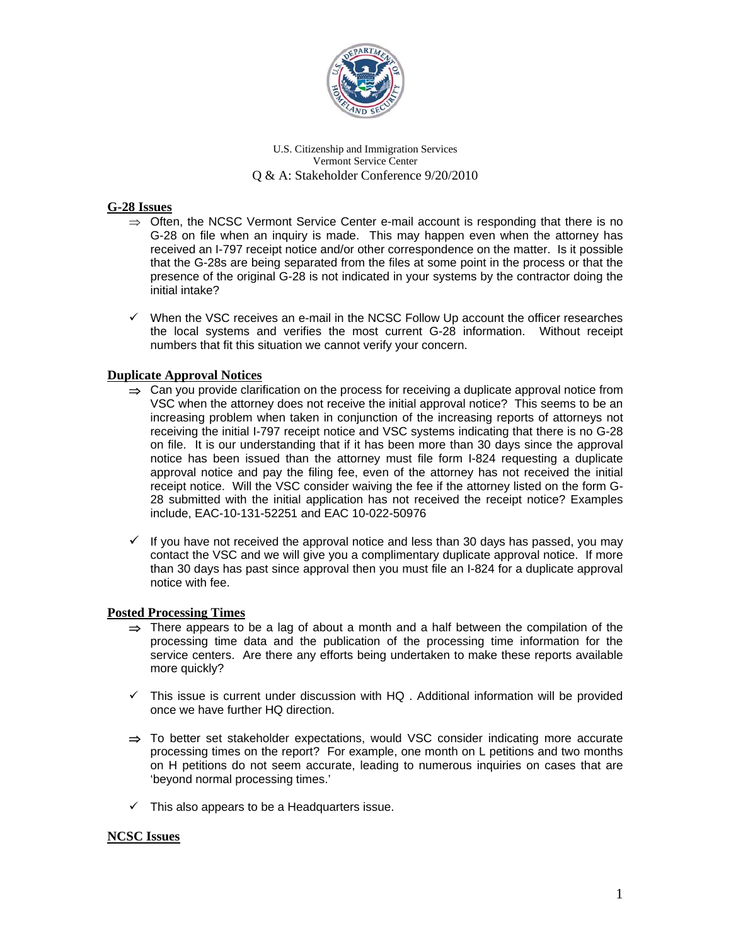

# **G-28 Issues**

- $\Rightarrow$  Often, the NCSC Vermont Service Center e-mail account is responding that there is no G-28 on file when an inquiry is made. This may happen even when the attorney has received an I-797 receipt notice and/or other correspondence on the matter. Is it possible that the G-28s are being separated from the files at some point in the process or that the presence of the original G-28 is not indicated in your systems by the contractor doing the initial intake?
- $\checkmark$  When the VSC receives an e-mail in the NCSC Follow Up account the officer researches the local systems and verifies the most current G-28 information. Without receipt numbers that fit this situation we cannot verify your concern.

# **Duplicate Approval Notices**

- $\Rightarrow$  Can you provide clarification on the process for receiving a duplicate approval notice from VSC when the attorney does not receive the initial approval notice? This seems to be an increasing problem when taken in conjunction of the increasing reports of attorneys not receiving the initial I-797 receipt notice and VSC systems indicating that there is no G-28 on file. It is our understanding that if it has been more than 30 days since the approval notice has been issued than the attorney must file form I-824 requesting a duplicate approval notice and pay the filing fee, even of the attorney has not received the initial receipt notice. Will the VSC consider waiving the fee if the attorney listed on the form G-28 submitted with the initial application has not received the receipt notice? Examples include, EAC-10-131-52251 and EAC 10-022-50976
- $\checkmark$  If you have not received the approval notice and less than 30 days has passed, you may contact the VSC and we will give you a complimentary duplicate approval notice. If more than 30 days has past since approval then you must file an I-824 for a duplicate approval notice with fee.

# **Posted Processing Times**

- $\Rightarrow$  There appears to be a lag of about a month and a half between the compilation of the processing time data and the publication of the processing time information for the service centers. Are there any efforts being undertaken to make these reports available more quickly?
- $\checkmark$  This issue is current under discussion with HQ . Additional information will be provided once we have further HQ direction.
- $\Rightarrow$  To better set stakeholder expectations, would VSC consider indicating more accurate processing times on the report? For example, one month on L petitions and two months on H petitions do not seem accurate, leading to numerous inquiries on cases that are 'beyond normal processing times.'
- $\checkmark$  This also appears to be a Headquarters issue.

# **NCSC Issues**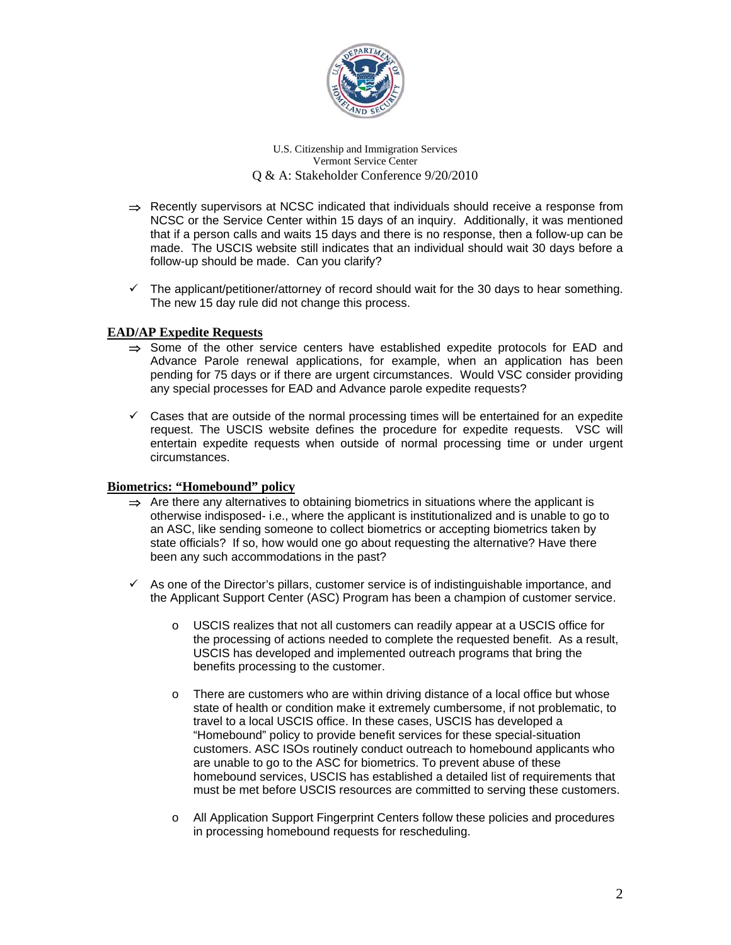

- $\Rightarrow$  Recently supervisors at NCSC indicated that individuals should receive a response from NCSC or the Service Center within 15 days of an inquiry. Additionally, it was mentioned that if a person calls and waits 15 days and there is no response, then a follow-up can be made. The USCIS website still indicates that an individual should wait 30 days before a follow-up should be made. Can you clarify?
- $\checkmark$  The applicant/petitioner/attorney of record should wait for the 30 days to hear something. The new 15 day rule did not change this process.

# **EAD/AP Expedite Requests**

- $\Rightarrow$  Some of the other service centers have established expedite protocols for EAD and Advance Parole renewal applications, for example, when an application has been pending for 75 days or if there are urgent circumstances. Would VSC consider providing any special processes for EAD and Advance parole expedite requests?
- $\checkmark$  Cases that are outside of the normal processing times will be entertained for an expedite request. The USCIS website defines the procedure for expedite requests. VSC will entertain expedite requests when outside of normal processing time or under urgent circumstances.

### **Biometrics: "Homebound" policy**

- $\Rightarrow$  Are there any alternatives to obtaining biometrics in situations where the applicant is otherwise indisposed- i.e., where the applicant is institutionalized and is unable to go to an ASC, like sending someone to collect biometrics or accepting biometrics taken by state officials? If so, how would one go about requesting the alternative? Have there been any such accommodations in the past?
- $\checkmark$  As one of the Director's pillars, customer service is of indistinguishable importance, and the Applicant Support Center (ASC) Program has been a champion of customer service.
	- USCIS realizes that not all customers can readily appear at a USCIS office for the processing of actions needed to complete the requested benefit. As a result, USCIS has developed and implemented outreach programs that bring the benefits processing to the customer.
	- o There are customers who are within driving distance of a local office but whose state of health or condition make it extremely cumbersome, if not problematic, to travel to a local USCIS office. In these cases, USCIS has developed a "Homebound" policy to provide benefit services for these special-situation customers. ASC ISOs routinely conduct outreach to homebound applicants who are unable to go to the ASC for biometrics. To prevent abuse of these homebound services, USCIS has established a detailed list of requirements that must be met before USCIS resources are committed to serving these customers.
	- o All Application Support Fingerprint Centers follow these policies and procedures in processing homebound requests for rescheduling.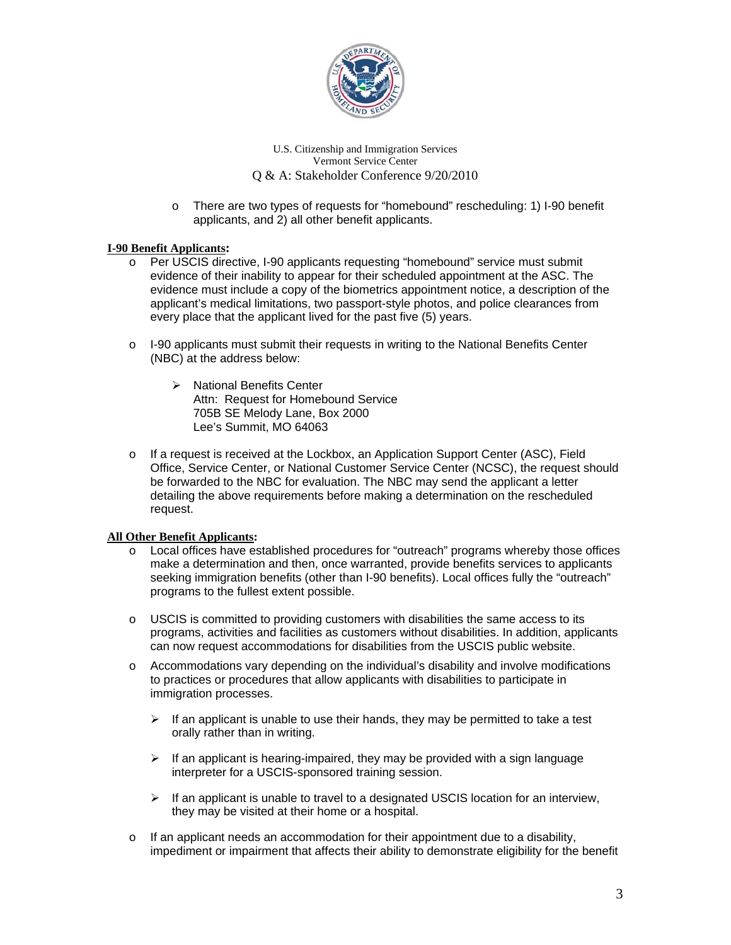

o There are two types of requests for "homebound" rescheduling: 1) I-90 benefit applicants, and 2) all other benefit applicants.

### **I-90 Benefit Applicants:**

- o Per USCIS directive, I-90 applicants requesting "homebound" service must submit evidence of their inability to appear for their scheduled appointment at the ASC. The evidence must include a copy of the biometrics appointment notice, a description of the applicant's medical limitations, two passport-style photos, and police clearances from every place that the applicant lived for the past five (5) years.
- $\circ$  I-90 applicants must submit their requests in writing to the National Benefits Center (NBC) at the address below:
	- > National Benefits Center Attn: Request for Homebound Service 705B SE Melody Lane, Box 2000 Lee's Summit, MO 64063
- o If a request is received at the Lockbox, an Application Support Center (ASC), Field Office, Service Center, or National Customer Service Center (NCSC), the request should be forwarded to the NBC for evaluation. The NBC may send the applicant a letter detailing the above requirements before making a determination on the rescheduled request.

#### **All Other Benefit Applicants:**

- o Local offices have established procedures for "outreach" programs whereby those offices make a determination and then, once warranted, provide benefits services to applicants seeking immigration benefits (other than I-90 benefits). Local offices fully the "outreach" programs to the fullest extent possible.
- $\circ$  USCIS is committed to providing customers with disabilities the same access to its programs, activities and facilities as customers without disabilities. In addition, applicants can now request accommodations for disabilities from the USCIS public website.
- o Accommodations vary depending on the individual's disability and involve modifications to practices or procedures that allow applicants with disabilities to participate in immigration processes.
	- $\triangleright$  If an applicant is unable to use their hands, they may be permitted to take a test orally rather than in writing.
	- $\triangleright$  If an applicant is hearing-impaired, they may be provided with a sign language interpreter for a USCIS-sponsored training session.
	- $\triangleright$  If an applicant is unable to travel to a designated USCIS location for an interview, they may be visited at their home or a hospital.
- $\circ$  If an applicant needs an accommodation for their appointment due to a disability, impediment or impairment that affects their ability to demonstrate eligibility for the benefit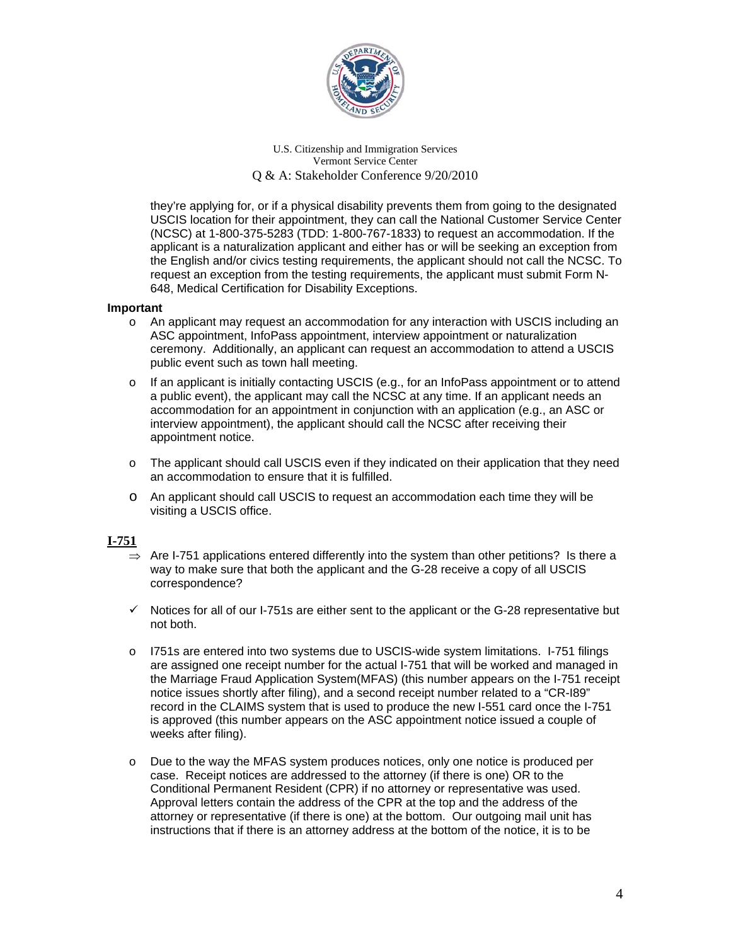

they're applying for, or if a physical disability prevents them from going to the designated USCIS location for their appointment, they can call the National Customer Service Center (NCSC) at 1-800-375-5283 (TDD: 1-800-767-1833) to request an accommodation. If the applicant is a naturalization applicant and either has or will be seeking an exception from the English and/or civics testing requirements, the applicant should not call the NCSC. To request an exception from the testing requirements, the applicant must submit Form N-648, Medical Certification for Disability Exceptions.

### **Important**

- o An applicant may request an accommodation for any interaction with USCIS including an ASC appointment, InfoPass appointment, interview appointment or naturalization ceremony. Additionally, an applicant can request an accommodation to attend a USCIS public event such as town hall meeting.
- o If an applicant is initially contacting USCIS (e.g., for an InfoPass appointment or to attend a public event), the applicant may call the NCSC at any time. If an applicant needs an accommodation for an appointment in conjunction with an application (e.g., an ASC or interview appointment), the applicant should call the NCSC after receiving their appointment notice.
- o The applicant should call USCIS even if they indicated on their application that they need an accommodation to ensure that it is fulfilled.
- o An applicant should call USCIS to request an accommodation each time they will be visiting a USCIS office.

# **I-751**

- $\Rightarrow$  Are I-751 applications entered differently into the system than other petitions? Is there a way to make sure that both the applicant and the G-28 receive a copy of all USCIS correspondence?
- $\checkmark$  Notices for all of our I-751s are either sent to the applicant or the G-28 representative but not both.
- o I751s are entered into two systems due to USCIS-wide system limitations. I-751 filings are assigned one receipt number for the actual I-751 that will be worked and managed in the Marriage Fraud Application System(MFAS) (this number appears on the I-751 receipt notice issues shortly after filing), and a second receipt number related to a "CR-I89" record in the CLAIMS system that is used to produce the new I-551 card once the I-751 is approved (this number appears on the ASC appointment notice issued a couple of weeks after filing).
- o Due to the way the MFAS system produces notices, only one notice is produced per case. Receipt notices are addressed to the attorney (if there is one) OR to the Conditional Permanent Resident (CPR) if no attorney or representative was used. Approval letters contain the address of the CPR at the top and the address of the attorney or representative (if there is one) at the bottom. Our outgoing mail unit has instructions that if there is an attorney address at the bottom of the notice, it is to be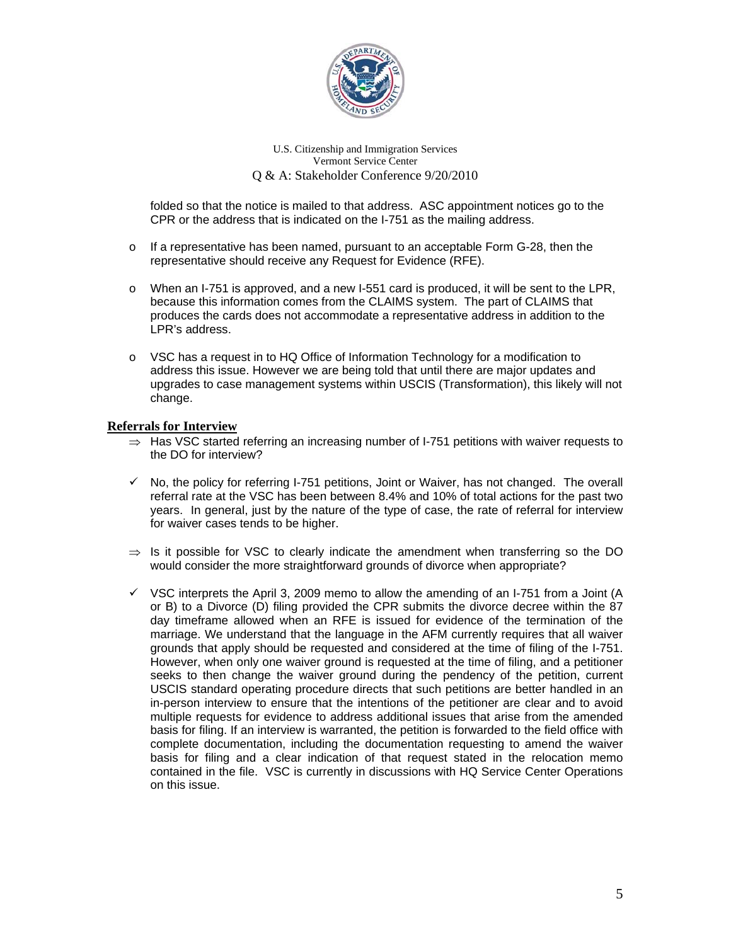

folded so that the notice is mailed to that address. ASC appointment notices go to the CPR or the address that is indicated on the I-751 as the mailing address.

- $\circ$  If a representative has been named, pursuant to an acceptable Form G-28, then the representative should receive any Request for Evidence (RFE).
- o When an I-751 is approved, and a new I-551 card is produced, it will be sent to the LPR, because this information comes from the CLAIMS system. The part of CLAIMS that produces the cards does not accommodate a representative address in addition to the LPR's address.
- $\circ$  VSC has a request in to HQ Office of Information Technology for a modification to address this issue. However we are being told that until there are major updates and upgrades to case management systems within USCIS (Transformation), this likely will not change.

# **Referrals for Interview**

- $\Rightarrow$  Has VSC started referring an increasing number of I-751 petitions with waiver requests to the DO for interview?
- $\checkmark$  No, the policy for referring I-751 petitions, Joint or Waiver, has not changed. The overall referral rate at the VSC has been between 8.4% and 10% of total actions for the past two years. In general, just by the nature of the type of case, the rate of referral for interview for waiver cases tends to be higher.
- $\Rightarrow$  Is it possible for VSC to clearly indicate the amendment when transferring so the DO would consider the more straightforward grounds of divorce when appropriate?
- $\checkmark$  VSC interprets the April 3, 2009 memo to allow the amending of an I-751 from a Joint (A or B) to a Divorce (D) filing provided the CPR submits the divorce decree within the 87 day timeframe allowed when an RFE is issued for evidence of the termination of the marriage. We understand that the language in the AFM currently requires that all waiver grounds that apply should be requested and considered at the time of filing of the I-751. However, when only one waiver ground is requested at the time of filing, and a petitioner seeks to then change the waiver ground during the pendency of the petition, current USCIS standard operating procedure directs that such petitions are better handled in an in-person interview to ensure that the intentions of the petitioner are clear and to avoid multiple requests for evidence to address additional issues that arise from the amended basis for filing. If an interview is warranted, the petition is forwarded to the field office with complete documentation, including the documentation requesting to amend the waiver basis for filing and a clear indication of that request stated in the relocation memo contained in the file. VSC is currently in discussions with HQ Service Center Operations on this issue.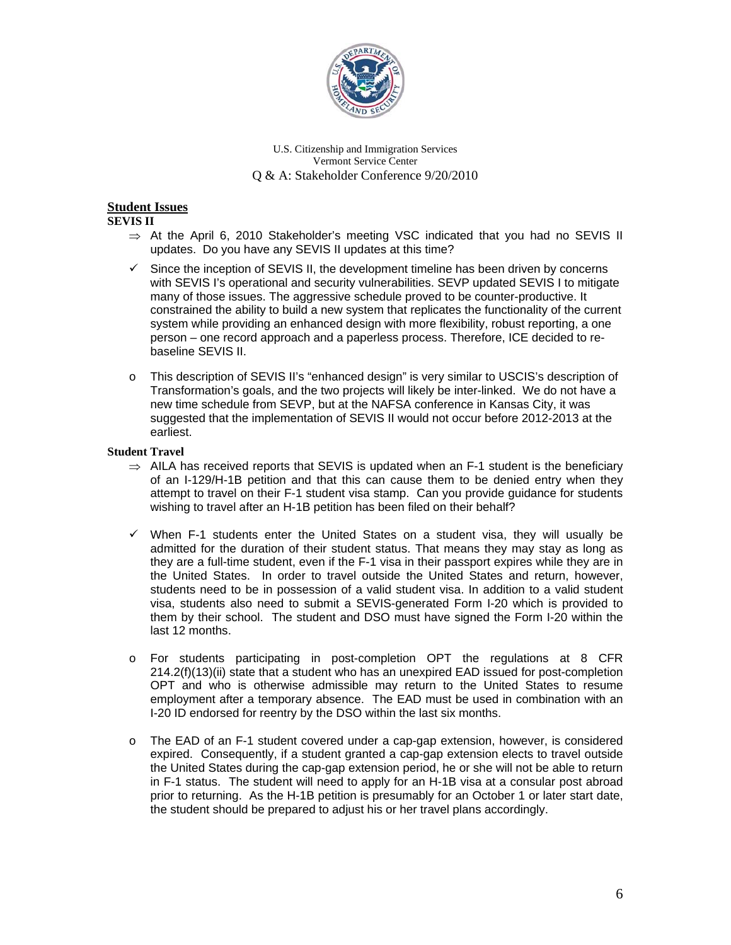

# **Student Issues**

**SEVIS II** 

- $\Rightarrow$  At the April 6, 2010 Stakeholder's meeting VSC indicated that you had no SEVIS II updates. Do you have any SEVIS II updates at this time?
- $\checkmark$  Since the inception of SEVIS II, the development timeline has been driven by concerns with SEVIS I's operational and security vulnerabilities. SEVP updated SEVIS I to mitigate many of those issues. The aggressive schedule proved to be counter-productive. It constrained the ability to build a new system that replicates the functionality of the current system while providing an enhanced design with more flexibility, robust reporting, a one person – one record approach and a paperless process. Therefore, ICE decided to rebaseline SEVIS II.
- o This description of SEVIS II's "enhanced design" is very similar to USCIS's description of Transformation's goals, and the two projects will likely be inter-linked. We do not have a new time schedule from SEVP, but at the NAFSA conference in Kansas City, it was suggested that the implementation of SEVIS II would not occur before 2012-2013 at the earliest.

#### **Student Travel**

- $\Rightarrow$  AILA has received reports that SEVIS is updated when an F-1 student is the beneficiary of an I-129/H-1B petition and that this can cause them to be denied entry when they attempt to travel on their F-1 student visa stamp. Can you provide guidance for students wishing to travel after an H-1B petition has been filed on their behalf?
- $\checkmark$  When F-1 students enter the United States on a student visa, they will usually be admitted for the duration of their student status. That means they may stay as long as they are a full-time student, even if the F-1 visa in their passport expires while they are in the United States. In order to travel outside the United States and return, however, students need to be in possession of a valid student visa. In addition to a valid student visa, students also need to submit a SEVIS-generated Form I-20 which is provided to them by their school. The student and DSO must have signed the Form I-20 within the last 12 months.
- o For students participating in post-completion OPT the regulations at 8 CFR 214.2(f)(13)(ii) state that a student who has an unexpired EAD issued for post-completion OPT and who is otherwise admissible may return to the United States to resume employment after a temporary absence. The EAD must be used in combination with an I-20 ID endorsed for reentry by the DSO within the last six months.
- o The EAD of an F-1 student covered under a cap-gap extension, however, is considered expired. Consequently, if a student granted a cap-gap extension elects to travel outside the United States during the cap-gap extension period, he or she will not be able to return in F-1 status. The student will need to apply for an H-1B visa at a consular post abroad prior to returning. As the H-1B petition is presumably for an October 1 or later start date, the student should be prepared to adjust his or her travel plans accordingly.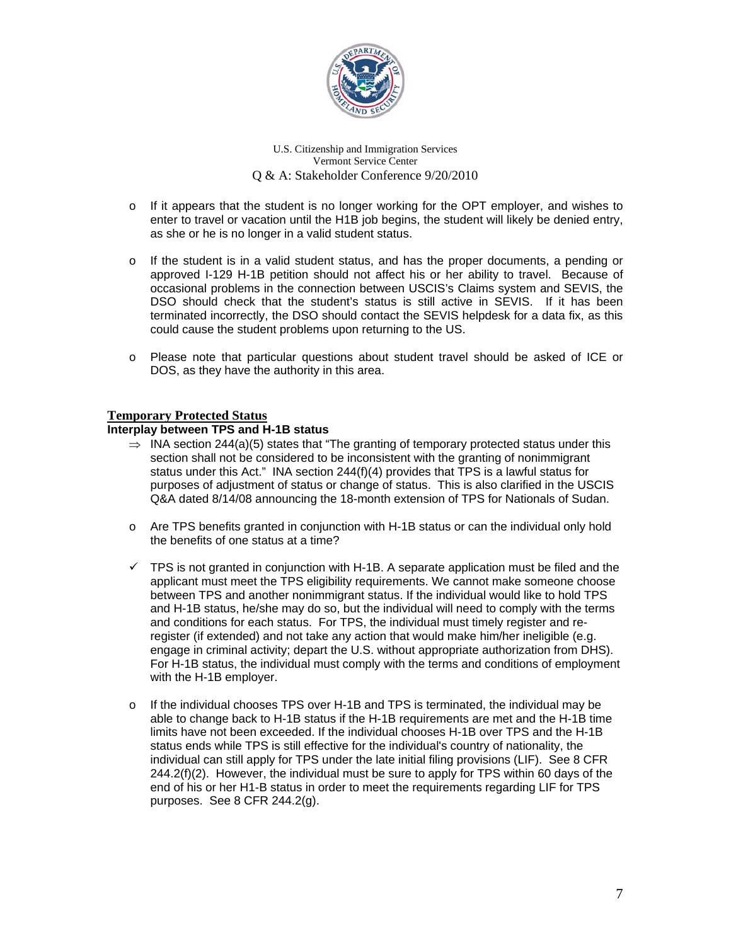

- o If it appears that the student is no longer working for the OPT employer, and wishes to enter to travel or vacation until the H1B job begins, the student will likely be denied entry, as she or he is no longer in a valid student status.
- $\circ$  If the student is in a valid student status, and has the proper documents, a pending or approved I-129 H-1B petition should not affect his or her ability to travel. Because of occasional problems in the connection between USCIS's Claims system and SEVIS, the DSO should check that the student's status is still active in SEVIS. If it has been terminated incorrectly, the DSO should contact the SEVIS helpdesk for a data fix, as this could cause the student problems upon returning to the US.
- o Please note that particular questions about student travel should be asked of ICE or DOS, as they have the authority in this area.

# **Temporary Protected Status**

### **Interplay between TPS and H-1B status**

- $\Rightarrow$  INA section 244(a)(5) states that "The granting of temporary protected status under this section shall not be considered to be inconsistent with the granting of nonimmigrant status under this Act." INA section 244(f)(4) provides that TPS is a lawful status for purposes of adjustment of status or change of status. This is also clarified in the USCIS Q&A dated 8/14/08 announcing the 18-month extension of TPS for Nationals of Sudan.
- o Are TPS benefits granted in conjunction with H-1B status or can the individual only hold the benefits of one status at a time?
- $\checkmark$  TPS is not granted in conjunction with H-1B. A separate application must be filed and the applicant must meet the TPS eligibility requirements. We cannot make someone choose between TPS and another nonimmigrant status. If the individual would like to hold TPS and H-1B status, he/she may do so, but the individual will need to comply with the terms and conditions for each status. For TPS, the individual must timely register and reregister (if extended) and not take any action that would make him/her ineligible (e.g. engage in criminal activity; depart the U.S. without appropriate authorization from DHS). For H-1B status, the individual must comply with the terms and conditions of employment with the H-1B employer.
- $\circ$  If the individual chooses TPS over H-1B and TPS is terminated, the individual may be able to change back to H-1B status if the H-1B requirements are met and the H-1B time limits have not been exceeded. If the individual chooses H-1B over TPS and the H-1B status ends while TPS is still effective for the individual's country of nationality, the individual can still apply for TPS under the late initial filing provisions (LIF). See 8 CFR  $244.2(f)(2)$ . However, the individual must be sure to apply for TPS within 60 days of the end of his or her H1-B status in order to meet the requirements regarding LIF for TPS purposes. See 8 CFR 244.2(g).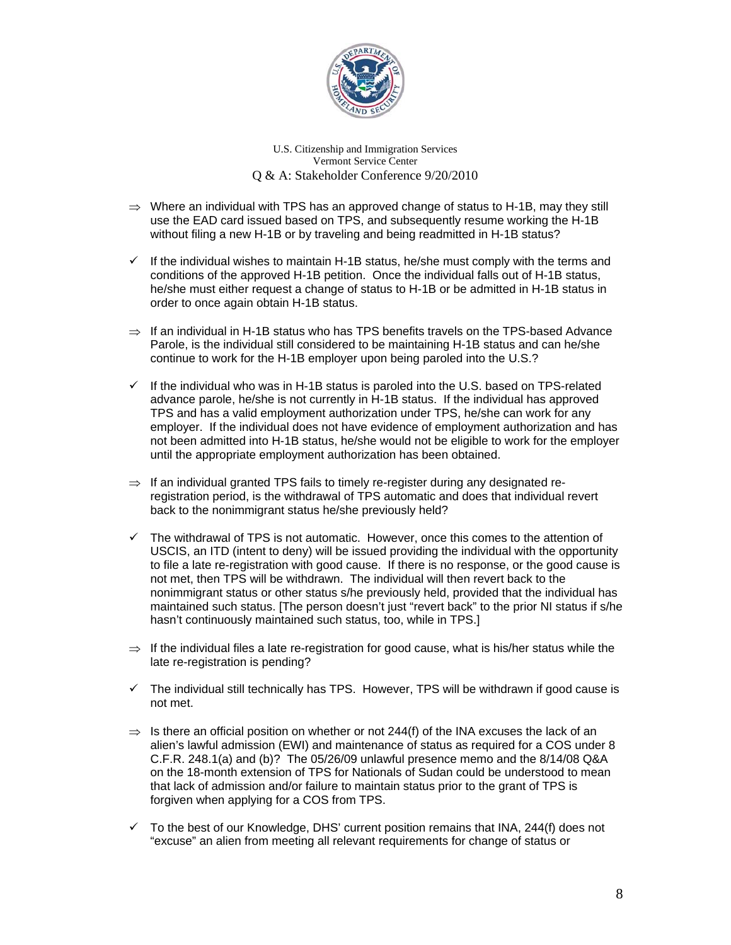

- $\Rightarrow$  Where an individual with TPS has an approved change of status to H-1B, may they still use the EAD card issued based on TPS, and subsequently resume working the H-1B without filing a new H-1B or by traveling and being readmitted in H-1B status?
- $\checkmark$  If the individual wishes to maintain H-1B status, he/she must comply with the terms and conditions of the approved H-1B petition. Once the individual falls out of H-1B status, he/she must either request a change of status to H-1B or be admitted in H-1B status in order to once again obtain H-1B status.
- $\Rightarrow$  If an individual in H-1B status who has TPS benefits travels on the TPS-based Advance Parole, is the individual still considered to be maintaining H-1B status and can he/she continue to work for the H-1B employer upon being paroled into the U.S.?
- $\checkmark$  If the individual who was in H-1B status is paroled into the U.S. based on TPS-related advance parole, he/she is not currently in H-1B status. If the individual has approved TPS and has a valid employment authorization under TPS, he/she can work for any employer. If the individual does not have evidence of employment authorization and has not been admitted into H-1B status, he/she would not be eligible to work for the employer until the appropriate employment authorization has been obtained.
- $\Rightarrow$  If an individual granted TPS fails to timely re-register during any designated reregistration period, is the withdrawal of TPS automatic and does that individual revert back to the nonimmigrant status he/she previously held?
- $\checkmark$  The withdrawal of TPS is not automatic. However, once this comes to the attention of USCIS, an ITD (intent to deny) will be issued providing the individual with the opportunity to file a late re-registration with good cause. If there is no response, or the good cause is not met, then TPS will be withdrawn. The individual will then revert back to the nonimmigrant status or other status s/he previously held, provided that the individual has maintained such status. [The person doesn't just "revert back" to the prior NI status if s/he hasn't continuously maintained such status, too, while in TPS.]
- $\Rightarrow$  If the individual files a late re-registration for good cause, what is his/her status while the late re-registration is pending?
- $\checkmark$  The individual still technically has TPS. However, TPS will be withdrawn if good cause is not met.
- $\Rightarrow$  Is there an official position on whether or not 244(f) of the INA excuses the lack of an alien's lawful admission (EWI) and maintenance of status as required for a COS under 8 C.F.R. 248.1(a) and (b)? The 05/26/09 unlawful presence memo and the 8/14/08 Q&A on the 18-month extension of TPS for Nationals of Sudan could be understood to mean that lack of admission and/or failure to maintain status prior to the grant of TPS is forgiven when applying for a COS from TPS.
- $\checkmark$  To the best of our Knowledge, DHS' current position remains that INA, 244(f) does not "excuse" an alien from meeting all relevant requirements for change of status or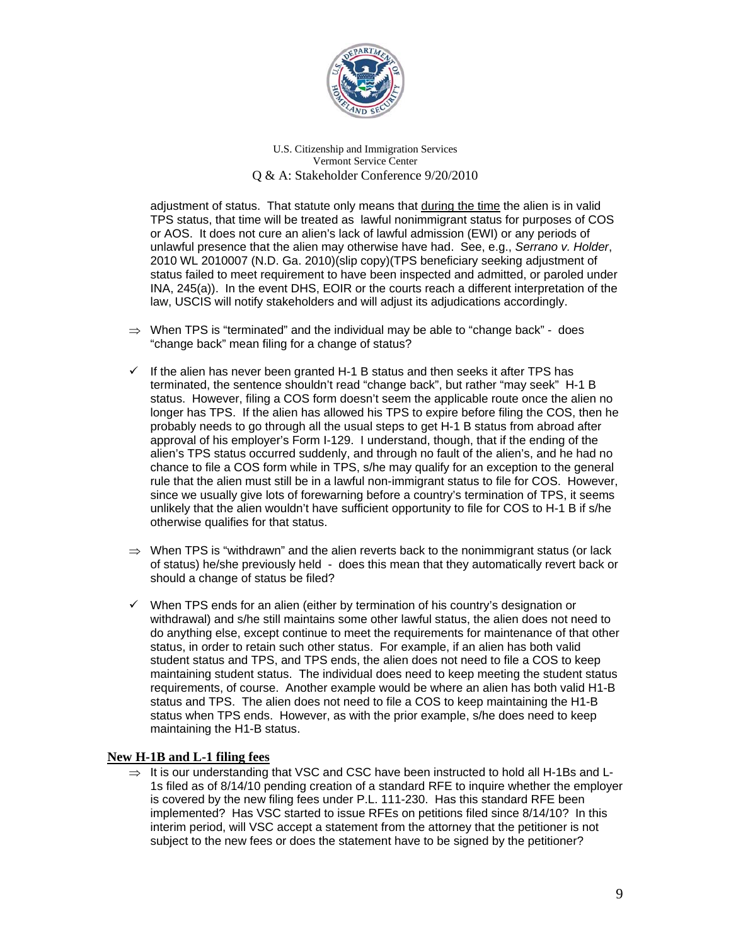

adjustment of status. That statute only means that during the time the alien is in valid TPS status, that time will be treated as lawful nonimmigrant status for purposes of COS or AOS. It does not cure an alien's lack of lawful admission (EWI) or any periods of unlawful presence that the alien may otherwise have had. See, e.g., *Serrano v. Holder*, 2010 WL 2010007 (N.D. Ga. 2010)(slip copy)(TPS beneficiary seeking adjustment of status failed to meet requirement to have been inspected and admitted, or paroled under INA, 245(a)). In the event DHS, EOIR or the courts reach a different interpretation of the law, USCIS will notify stakeholders and will adjust its adjudications accordingly.

- $\Rightarrow$  When TPS is "terminated" and the individual may be able to "change back" does "change back" mean filing for a change of status?
- $\checkmark$  If the alien has never been granted H-1 B status and then seeks it after TPS has terminated, the sentence shouldn't read "change back", but rather "may seek" H-1 B status. However, filing a COS form doesn't seem the applicable route once the alien no longer has TPS. If the alien has allowed his TPS to expire before filing the COS, then he probably needs to go through all the usual steps to get H-1 B status from abroad after approval of his employer's Form I-129. I understand, though, that if the ending of the alien's TPS status occurred suddenly, and through no fault of the alien's, and he had no chance to file a COS form while in TPS, s/he may qualify for an exception to the general rule that the alien must still be in a lawful non-immigrant status to file for COS. However, since we usually give lots of forewarning before a country's termination of TPS, it seems unlikely that the alien wouldn't have sufficient opportunity to file for COS to H-1 B if s/he otherwise qualifies for that status.
- $\Rightarrow$  When TPS is "withdrawn" and the alien reverts back to the nonimmigrant status (or lack of status) he/she previously held - does this mean that they automatically revert back or should a change of status be filed?
- $\checkmark$  When TPS ends for an alien (either by termination of his country's designation or withdrawal) and s/he still maintains some other lawful status, the alien does not need to do anything else, except continue to meet the requirements for maintenance of that other status, in order to retain such other status. For example, if an alien has both valid student status and TPS, and TPS ends, the alien does not need to file a COS to keep maintaining student status. The individual does need to keep meeting the student status requirements, of course. Another example would be where an alien has both valid H1-B status and TPS. The alien does not need to file a COS to keep maintaining the H1-B status when TPS ends. However, as with the prior example, s/he does need to keep maintaining the H1-B status.

# **New H-1B and L-1 filing fees**

 $\Rightarrow$  It is our understanding that VSC and CSC have been instructed to hold all H-1Bs and L-1s filed as of 8/14/10 pending creation of a standard RFE to inquire whether the employer is covered by the new filing fees under P.L. 111-230. Has this standard RFE been implemented? Has VSC started to issue RFEs on petitions filed since 8/14/10? In this interim period, will VSC accept a statement from the attorney that the petitioner is not subject to the new fees or does the statement have to be signed by the petitioner?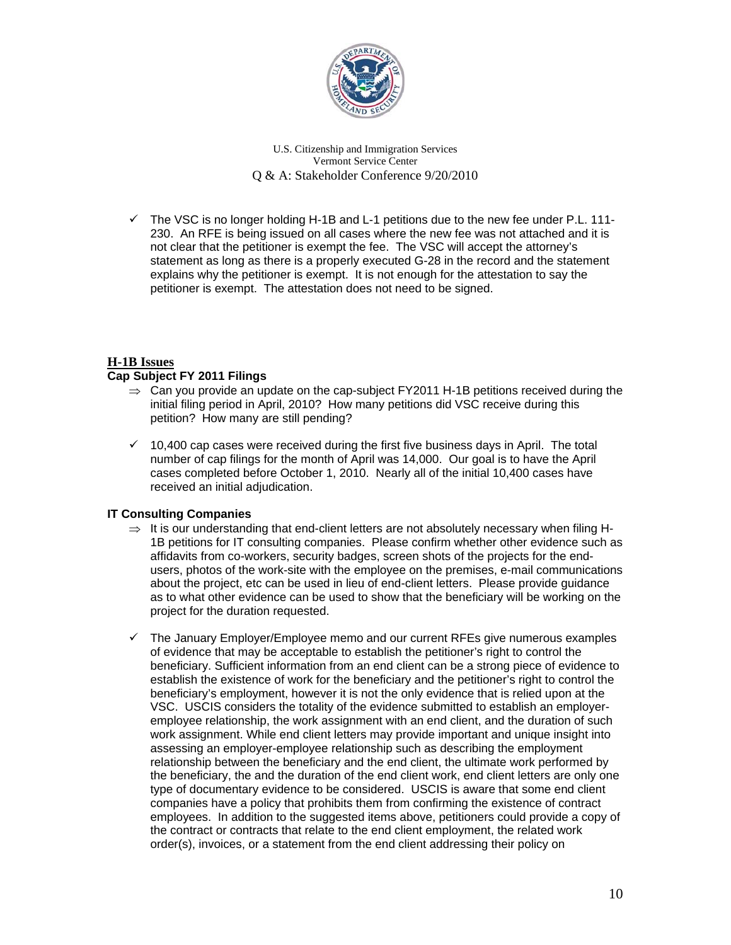

 $\checkmark$  The VSC is no longer holding H-1B and L-1 petitions due to the new fee under P.L. 111-230. An RFE is being issued on all cases where the new fee was not attached and it is not clear that the petitioner is exempt the fee. The VSC will accept the attorney's statement as long as there is a properly executed G-28 in the record and the statement explains why the petitioner is exempt. It is not enough for the attestation to say the petitioner is exempt. The attestation does not need to be signed.

# **H-1B Issues**

# **Cap Subject FY 2011 Filings**

- $\Rightarrow$  Can you provide an update on the cap-subject FY2011 H-1B petitions received during the initial filing period in April, 2010? How many petitions did VSC receive during this petition? How many are still pending?
- $\checkmark$  10,400 cap cases were received during the first five business days in April. The total number of cap filings for the month of April was 14,000. Our goal is to have the April cases completed before October 1, 2010. Nearly all of the initial 10,400 cases have received an initial adjudication.

# **IT Consulting Companies**

- $\Rightarrow$  It is our understanding that end-client letters are not absolutely necessary when filing H-1B petitions for IT consulting companies. Please confirm whether other evidence such as affidavits from co-workers, security badges, screen shots of the projects for the endusers, photos of the work-site with the employee on the premises, e-mail communications about the project, etc can be used in lieu of end-client letters. Please provide guidance as to what other evidence can be used to show that the beneficiary will be working on the project for the duration requested.
- $\checkmark$  The January Employer/Employee memo and our current RFEs give numerous examples of evidence that may be acceptable to establish the petitioner's right to control the beneficiary. Sufficient information from an end client can be a strong piece of evidence to establish the existence of work for the beneficiary and the petitioner's right to control the beneficiary's employment, however it is not the only evidence that is relied upon at the VSC. USCIS considers the totality of the evidence submitted to establish an employeremployee relationship, the work assignment with an end client, and the duration of such work assignment. While end client letters may provide important and unique insight into assessing an employer-employee relationship such as describing the employment relationship between the beneficiary and the end client, the ultimate work performed by the beneficiary, the and the duration of the end client work, end client letters are only one type of documentary evidence to be considered. USCIS is aware that some end client companies have a policy that prohibits them from confirming the existence of contract employees. In addition to the suggested items above, petitioners could provide a copy of the contract or contracts that relate to the end client employment, the related work order(s), invoices, or a statement from the end client addressing their policy on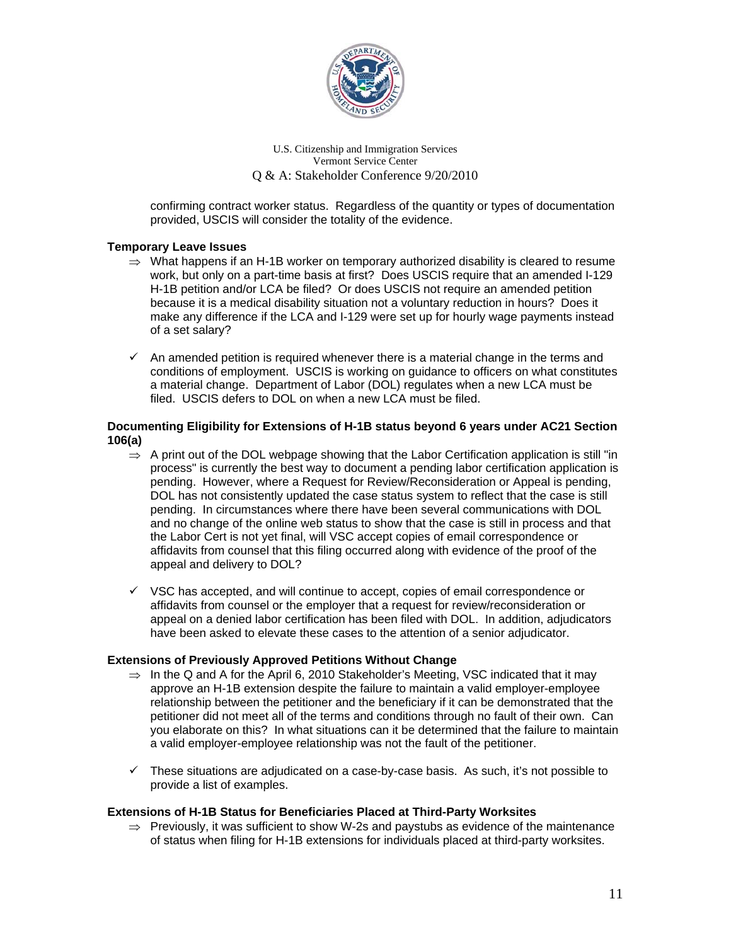

confirming contract worker status. Regardless of the quantity or types of documentation provided, USCIS will consider the totality of the evidence.

### **Temporary Leave Issues**

- $\Rightarrow$  What happens if an H-1B worker on temporary authorized disability is cleared to resume work, but only on a part-time basis at first? Does USCIS require that an amended I-129 H-1B petition and/or LCA be filed? Or does USCIS not require an amended petition because it is a medical disability situation not a voluntary reduction in hours? Does it make any difference if the LCA and I-129 were set up for hourly wage payments instead of a set salary?
- $\checkmark$  An amended petition is required whenever there is a material change in the terms and conditions of employment. USCIS is working on guidance to officers on what constitutes a material change. Department of Labor (DOL) regulates when a new LCA must be filed. USCIS defers to DOL on when a new LCA must be filed.

### **Documenting Eligibility for Extensions of H-1B status beyond 6 years under AC21 Section 106(a)**

- $\Rightarrow$  A print out of the DOL webpage showing that the Labor Certification application is still "in process" is currently the best way to document a pending labor certification application is pending. However, where a Request for Review/Reconsideration or Appeal is pending, DOL has not consistently updated the case status system to reflect that the case is still pending. In circumstances where there have been several communications with DOL and no change of the online web status to show that the case is still in process and that the Labor Cert is not yet final, will VSC accept copies of email correspondence or affidavits from counsel that this filing occurred along with evidence of the proof of the appeal and delivery to DOL?
- $\checkmark$  VSC has accepted, and will continue to accept, copies of email correspondence or affidavits from counsel or the employer that a request for review/reconsideration or appeal on a denied labor certification has been filed with DOL. In addition, adjudicators have been asked to elevate these cases to the attention of a senior adjudicator.

#### **Extensions of Previously Approved Petitions Without Change**

- $\Rightarrow$  In the Q and A for the April 6, 2010 Stakeholder's Meeting, VSC indicated that it may approve an H-1B extension despite the failure to maintain a valid employer-employee relationship between the petitioner and the beneficiary if it can be demonstrated that the petitioner did not meet all of the terms and conditions through no fault of their own. Can you elaborate on this? In what situations can it be determined that the failure to maintain a valid employer-employee relationship was not the fault of the petitioner.
- $\checkmark$  These situations are adjudicated on a case-by-case basis. As such, it's not possible to provide a list of examples.

#### **Extensions of H-1B Status for Beneficiaries Placed at Third-Party Worksites**

 $\Rightarrow$  Previously, it was sufficient to show W-2s and paystubs as evidence of the maintenance of status when filing for H-1B extensions for individuals placed at third-party worksites.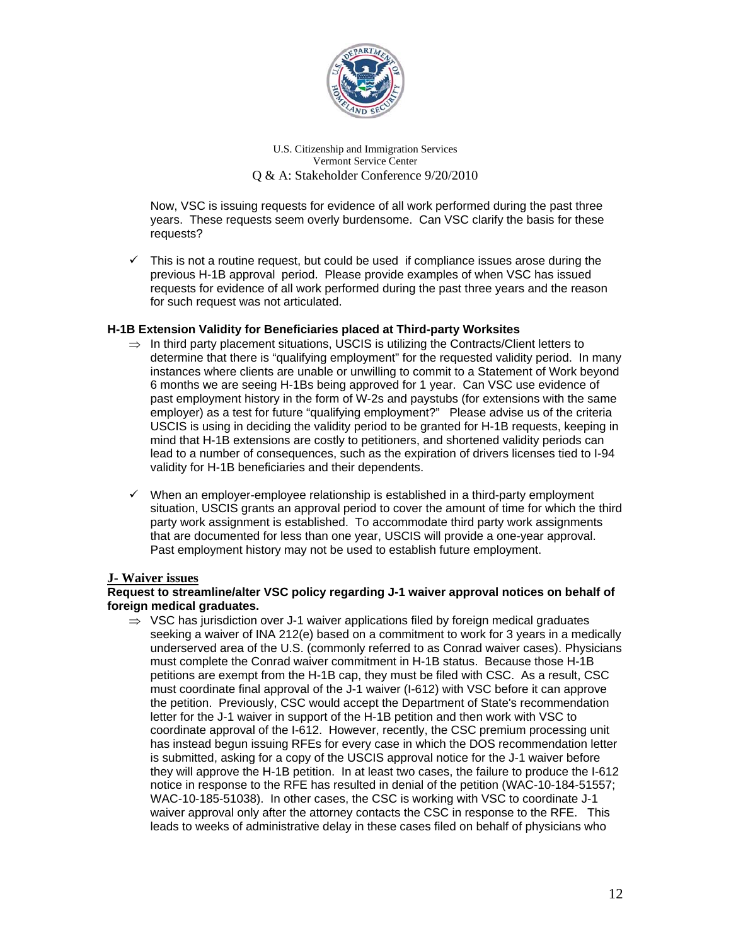

Now, VSC is issuing requests for evidence of all work performed during the past three years. These requests seem overly burdensome. Can VSC clarify the basis for these requests?

 $\checkmark$  This is not a routine request, but could be used if compliance issues arose during the previous H-1B approval period. Please provide examples of when VSC has issued requests for evidence of all work performed during the past three years and the reason for such request was not articulated.

### **H-1B Extension Validity for Beneficiaries placed at Third-party Worksites**

- $\Rightarrow$  In third party placement situations, USCIS is utilizing the Contracts/Client letters to determine that there is "qualifying employment" for the requested validity period. In many instances where clients are unable or unwilling to commit to a Statement of Work beyond 6 months we are seeing H-1Bs being approved for 1 year. Can VSC use evidence of past employment history in the form of W-2s and paystubs (for extensions with the same employer) as a test for future "qualifying employment?" Please advise us of the criteria USCIS is using in deciding the validity period to be granted for H-1B requests, keeping in mind that H-1B extensions are costly to petitioners, and shortened validity periods can lead to a number of consequences, such as the expiration of drivers licenses tied to I-94 validity for H-1B beneficiaries and their dependents.
- $\checkmark$  When an employer-employee relationship is established in a third-party employment situation, USCIS grants an approval period to cover the amount of time for which the third party work assignment is established. To accommodate third party work assignments that are documented for less than one year, USCIS will provide a one-year approval. Past employment history may not be used to establish future employment.

#### **J- Waiver issues**

#### **Request to streamline/alter VSC policy regarding J-1 waiver approval notices on behalf of foreign medical graduates.**

 $\Rightarrow$  VSC has jurisdiction over J-1 waiver applications filed by foreign medical graduates seeking a waiver of INA 212(e) based on a commitment to work for 3 years in a medically underserved area of the U.S. (commonly referred to as Conrad waiver cases). Physicians must complete the Conrad waiver commitment in H-1B status. Because those H-1B petitions are exempt from the H-1B cap, they must be filed with CSC. As a result, CSC must coordinate final approval of the J-1 waiver (I-612) with VSC before it can approve the petition. Previously, CSC would accept the Department of State's recommendation letter for the J-1 waiver in support of the H-1B petition and then work with VSC to coordinate approval of the I-612. However, recently, the CSC premium processing unit has instead begun issuing RFEs for every case in which the DOS recommendation letter is submitted, asking for a copy of the USCIS approval notice for the J-1 waiver before they will approve the H-1B petition. In at least two cases, the failure to produce the I-612 notice in response to the RFE has resulted in denial of the petition (WAC-10-184-51557; WAC-10-185-51038). In other cases, the CSC is working with VSC to coordinate J-1 waiver approval only after the attorney contacts the CSC in response to the RFE. This leads to weeks of administrative delay in these cases filed on behalf of physicians who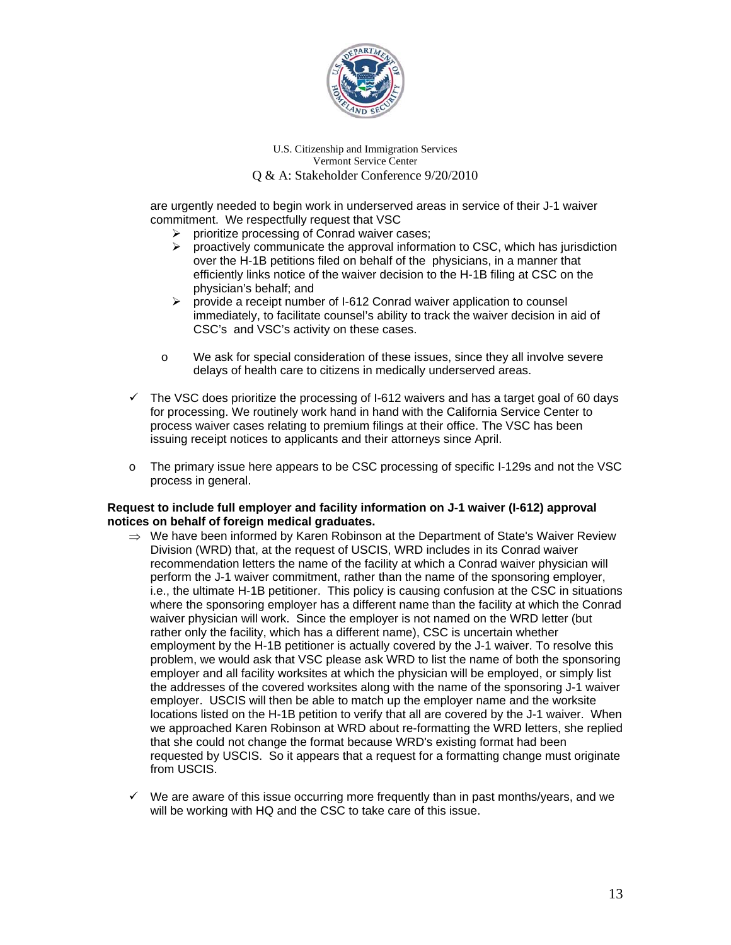

are urgently needed to begin work in underserved areas in service of their J-1 waiver commitment. We respectfully request that VSC

- $\triangleright$  prioritize processing of Conrad waiver cases;
- proactively communicate the approval information to CSC, which has jurisdiction over the H-1B petitions filed on behalf of the physicians, in a manner that efficiently links notice of the waiver decision to the H-1B filing at CSC on the physician's behalf; and
- $\triangleright$  provide a receipt number of I-612 Conrad waiver application to counsel immediately, to facilitate counsel's ability to track the waiver decision in aid of CSC's and VSC's activity on these cases.
- o We ask for special consideration of these issues, since they all involve severe delays of health care to citizens in medically underserved areas.
- $\checkmark$  The VSC does prioritize the processing of I-612 waivers and has a target goal of 60 days for processing. We routinely work hand in hand with the California Service Center to process waiver cases relating to premium filings at their office. The VSC has been issuing receipt notices to applicants and their attorneys since April.
- o The primary issue here appears to be CSC processing of specific I-129s and not the VSC process in general.

### **Request to include full employer and facility information on J-1 waiver (I-612) approval notices on behalf of foreign medical graduates.**

- $\Rightarrow$  We have been informed by Karen Robinson at the Department of State's Waiver Review Division (WRD) that, at the request of USCIS, WRD includes in its Conrad waiver recommendation letters the name of the facility at which a Conrad waiver physician will perform the J-1 waiver commitment, rather than the name of the sponsoring employer, i.e., the ultimate H-1B petitioner. This policy is causing confusion at the CSC in situations where the sponsoring employer has a different name than the facility at which the Conrad waiver physician will work. Since the employer is not named on the WRD letter (but rather only the facility, which has a different name), CSC is uncertain whether employment by the H-1B petitioner is actually covered by the J-1 waiver. To resolve this problem, we would ask that VSC please ask WRD to list the name of both the sponsoring employer and all facility worksites at which the physician will be employed, or simply list the addresses of the covered worksites along with the name of the sponsoring J-1 waiver employer. USCIS will then be able to match up the employer name and the worksite locations listed on the H-1B petition to verify that all are covered by the J-1 waiver. When we approached Karen Robinson at WRD about re-formatting the WRD letters, she replied that she could not change the format because WRD's existing format had been requested by USCIS. So it appears that a request for a formatting change must originate from USCIS.
- $\checkmark$  We are aware of this issue occurring more frequently than in past months/years, and we will be working with HQ and the CSC to take care of this issue.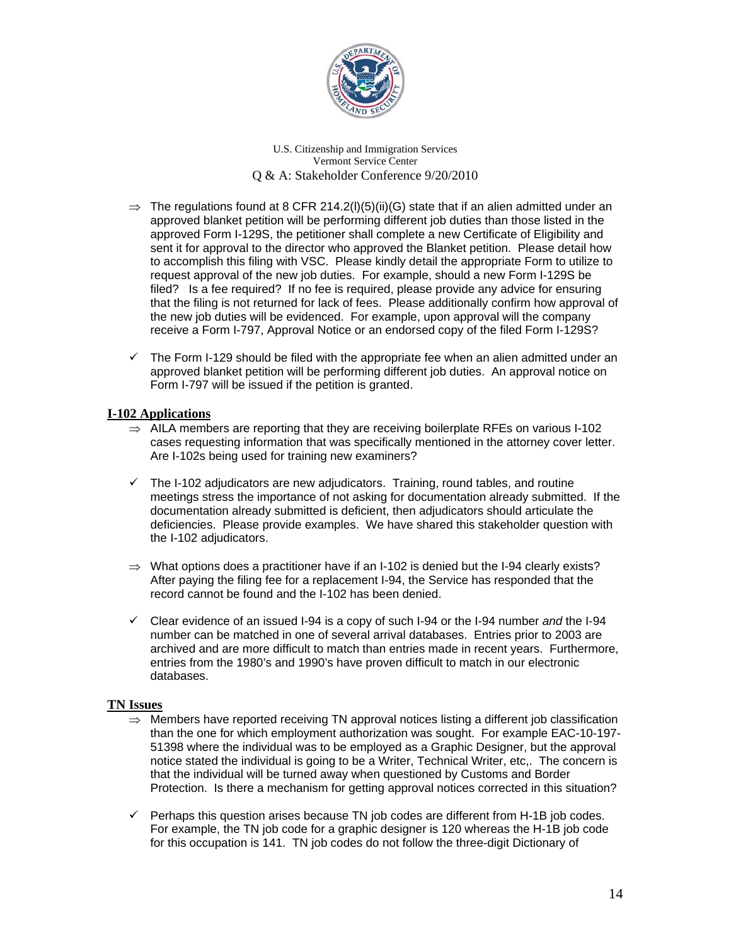

- $\Rightarrow$  The regulations found at 8 CFR 214.2(I)(5)(ii)(G) state that if an alien admitted under an approved blanket petition will be performing different job duties than those listed in the approved Form I-129S, the petitioner shall complete a new Certificate of Eligibility and sent it for approval to the director who approved the Blanket petition. Please detail how to accomplish this filing with VSC. Please kindly detail the appropriate Form to utilize to request approval of the new job duties. For example, should a new Form I-129S be filed? Is a fee required? If no fee is required, please provide any advice for ensuring that the filing is not returned for lack of fees. Please additionally confirm how approval of the new job duties will be evidenced. For example, upon approval will the company receive a Form I-797, Approval Notice or an endorsed copy of the filed Form I-129S?
- $\checkmark$  The Form I-129 should be filed with the appropriate fee when an alien admitted under an approved blanket petition will be performing different job duties. An approval notice on Form I-797 will be issued if the petition is granted.

# **I-102 Applications**

- $\Rightarrow$  AILA members are reporting that they are receiving boilerplate RFEs on various I-102 cases requesting information that was specifically mentioned in the attorney cover letter. Are I-102s being used for training new examiners?
- $\checkmark$  The I-102 adjudicators are new adjudicators. Training, round tables, and routine meetings stress the importance of not asking for documentation already submitted. If the documentation already submitted is deficient, then adjudicators should articulate the deficiencies. Please provide examples. We have shared this stakeholder question with the I-102 adjudicators.
- $\Rightarrow$  What options does a practitioner have if an I-102 is denied but the I-94 clearly exists? After paying the filing fee for a replacement I-94, the Service has responded that the record cannot be found and the I-102 has been denied.
- Clear evidence of an issued I-94 is a copy of such I-94 or the I-94 number *and* the I-94 number can be matched in one of several arrival databases. Entries prior to 2003 are archived and are more difficult to match than entries made in recent years. Furthermore, entries from the 1980's and 1990's have proven difficult to match in our electronic databases.

#### **TN Issues**

- $\Rightarrow$  Members have reported receiving TN approval notices listing a different job classification than the one for which employment authorization was sought. For example EAC-10-197- 51398 where the individual was to be employed as a Graphic Designer, but the approval notice stated the individual is going to be a Writer, Technical Writer, etc,. The concern is that the individual will be turned away when questioned by Customs and Border Protection. Is there a mechanism for getting approval notices corrected in this situation?
- $\checkmark$  Perhaps this question arises because TN job codes are different from H-1B job codes. For example, the TN job code for a graphic designer is 120 whereas the H-1B job code for this occupation is 141. TN job codes do not follow the three-digit Dictionary of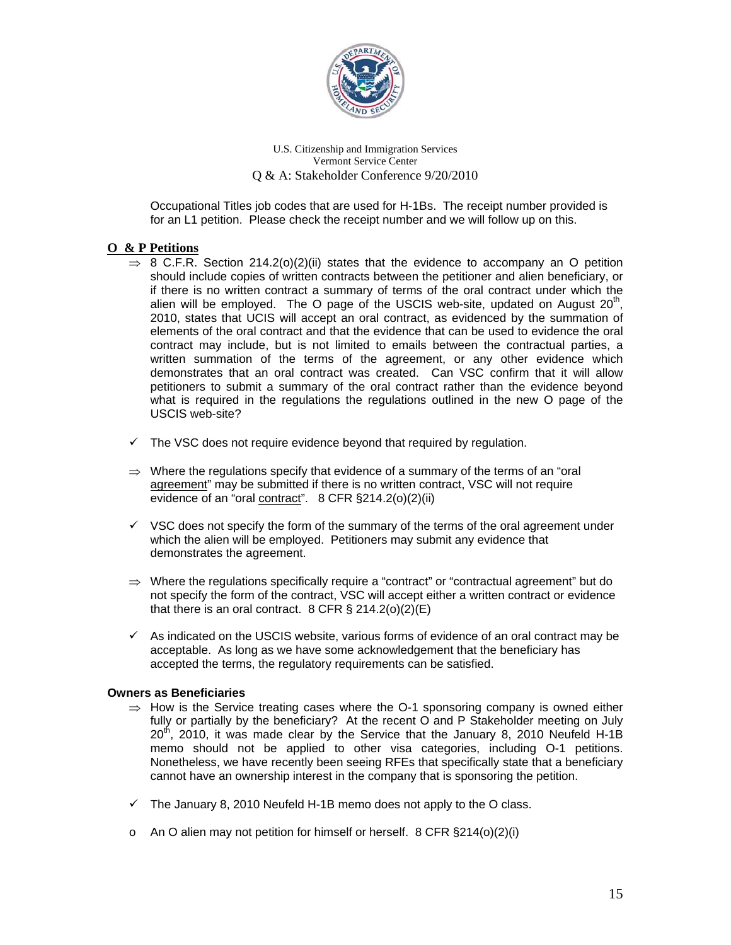

Occupational Titles job codes that are used for H-1Bs. The receipt number provided is for an L1 petition. Please check the receipt number and we will follow up on this.

# **O & P Petitions**

- $\Rightarrow$  8 C.F.R. Section 214.2(o)(2)(ii) states that the evidence to accompany an O petition should include copies of written contracts between the petitioner and alien beneficiary, or if there is no written contract a summary of terms of the oral contract under which the alien will be employed. The O page of the USCIS web-site, updated on August  $20<sup>th</sup>$ , 2010, states that UCIS will accept an oral contract, as evidenced by the summation of elements of the oral contract and that the evidence that can be used to evidence the oral contract may include, but is not limited to emails between the contractual parties, a written summation of the terms of the agreement, or any other evidence which demonstrates that an oral contract was created. Can VSC confirm that it will allow petitioners to submit a summary of the oral contract rather than the evidence beyond what is required in the regulations the regulations outlined in the new O page of the USCIS web-site?
- $\checkmark$  The VSC does not require evidence beyond that required by regulation.
- $\Rightarrow$  Where the regulations specify that evidence of a summary of the terms of an "oral" agreement" may be submitted if there is no written contract, VSC will not require evidence of an "oral contract". 8 CFR §214.2(o)(2)(ii)
- $\checkmark$  VSC does not specify the form of the summary of the terms of the oral agreement under which the alien will be employed. Petitioners may submit any evidence that demonstrates the agreement.
- $\Rightarrow$  Where the regulations specifically require a "contract" or "contractual agreement" but do not specify the form of the contract, VSC will accept either a written contract or evidence that there is an oral contract.  $8$  CFR  $\S$  214.2(o)(2)(E)
- $\checkmark$  As indicated on the USCIS website, various forms of evidence of an oral contract may be acceptable. As long as we have some acknowledgement that the beneficiary has accepted the terms, the regulatory requirements can be satisfied.

# **Owners as Beneficiaries**

- $\Rightarrow$  How is the Service treating cases where the O-1 sponsoring company is owned either fully or partially by the beneficiary? At the recent O and P Stakeholder meeting on July  $20<sup>th</sup>$ , 2010, it was made clear by the Service that the January 8, 2010 Neufeld H-1B memo should not be applied to other visa categories, including O-1 petitions. Nonetheless, we have recently been seeing RFEs that specifically state that a beneficiary cannot have an ownership interest in the company that is sponsoring the petition.
- $\checkmark$  The January 8, 2010 Neufeld H-1B memo does not apply to the O class.
- $\circ$  An O alien may not petition for himself or herself. 8 CFR §214(o)(2)(i)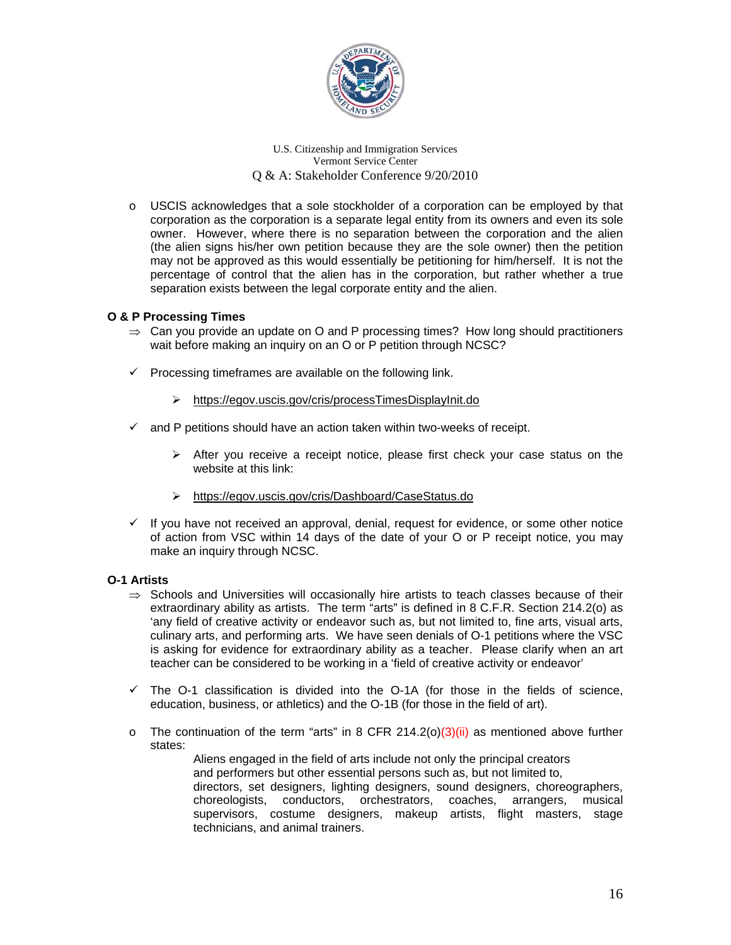

o USCIS acknowledges that a sole stockholder of a corporation can be employed by that corporation as the corporation is a separate legal entity from its owners and even its sole owner. However, where there is no separation between the corporation and the alien (the alien signs his/her own petition because they are the sole owner) then the petition may not be approved as this would essentially be petitioning for him/herself. It is not the percentage of control that the alien has in the corporation, but rather whether a true separation exists between the legal corporate entity and the alien.

### **O & P Processing Times**

- $\Rightarrow$  Can you provide an update on O and P processing times? How long should practitioners wait before making an inquiry on an O or P petition through NCSC?
- $\checkmark$  Processing timeframes are available on the following link.
	- <https://egov.uscis.gov/cris/processTimesDisplayInit.do>
- $\checkmark$  and P petitions should have an action taken within two-weeks of receipt.
	- $\triangleright$  After you receive a receipt notice, please first check your case status on the website at this link:
	- <https://egov.uscis.gov/cris/Dashboard/CaseStatus.do>
- $\checkmark$  If you have not received an approval, denial, request for evidence, or some other notice of action from VSC within 14 days of the date of your O or P receipt notice, you may make an inquiry through NCSC.

# **O-1 Artists**

- $\Rightarrow$  Schools and Universities will occasionally hire artists to teach classes because of their extraordinary ability as artists. The term "arts" is defined in 8 C.F.R. Section 214.2(o) as 'any field of creative activity or endeavor such as, but not limited to, fine arts, visual arts, culinary arts, and performing arts. We have seen denials of O-1 petitions where the VSC is asking for evidence for extraordinary ability as a teacher. Please clarify when an art teacher can be considered to be working in a 'field of creative activity or endeavor'
- $\checkmark$  The O-1 classification is divided into the O-1A (for those in the fields of science, education, business, or athletics) and the O-1B (for those in the field of art).
- $\circ$  The continuation of the term "arts" in 8 CFR 214.2(o)(3)(ii) as mentioned above further states:

 Aliens engaged in the field of arts include not only the principal creators and performers but other essential persons such as, but not limited to, directors, set designers, lighting designers, sound designers, choreographers, choreologists, conductors, orchestrators, coaches, arrangers, musical conductors, orchestrators, coaches, arrangers, musical supervisors, costume designers, makeup artists, flight masters, stage technicians, and animal trainers.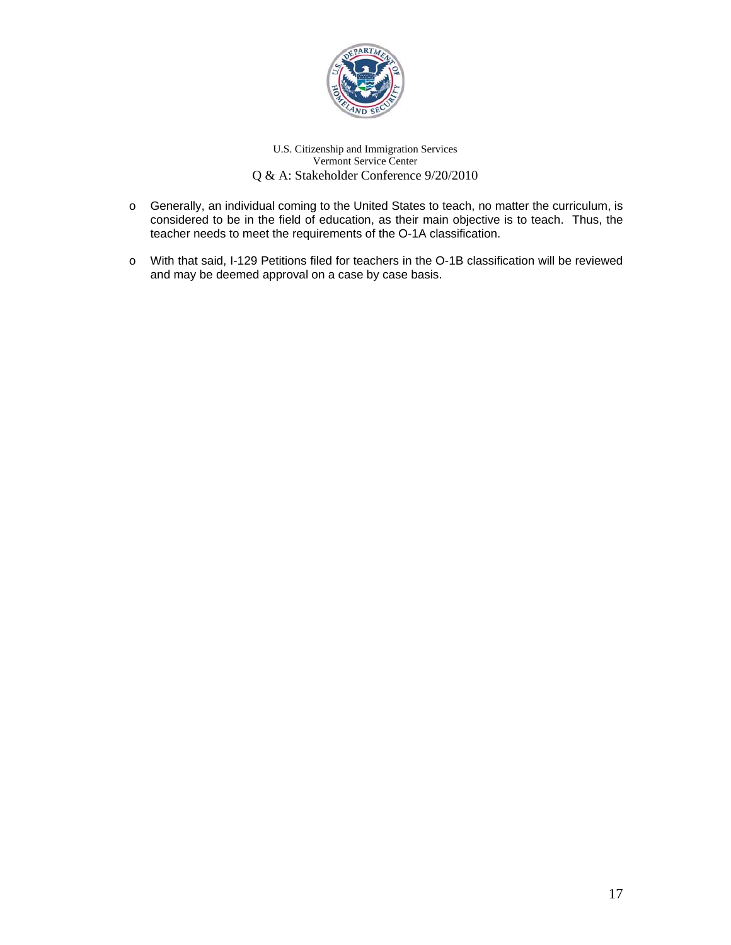

- o Generally, an individual coming to the United States to teach, no matter the curriculum, is considered to be in the field of education, as their main objective is to teach. Thus, the teacher needs to meet the requirements of the O-1A classification.
- o With that said, I-129 Petitions filed for teachers in the O-1B classification will be reviewed and may be deemed approval on a case by case basis.